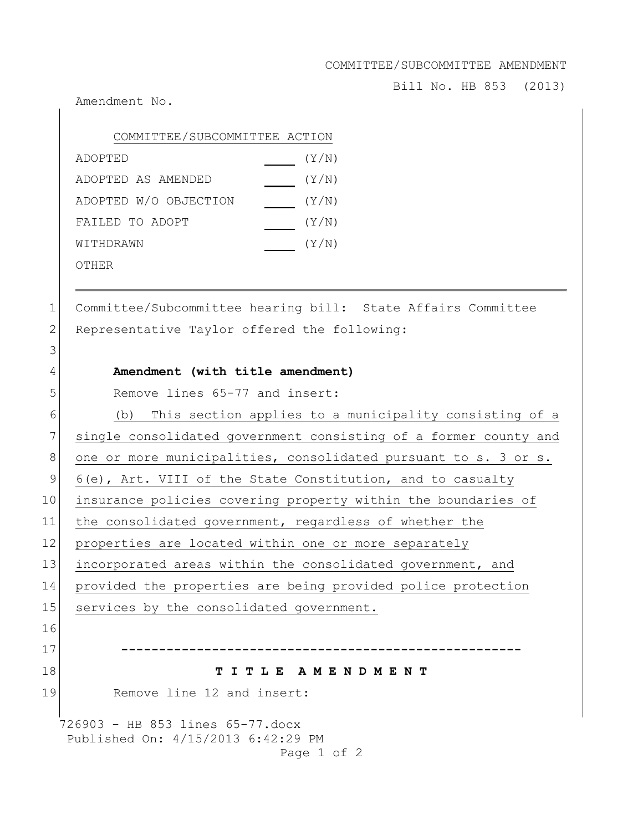COMMITTEE/SUBCOMMITTEE AMENDMENT

Bill No. HB 853 (2013)

Amendment No.

3

| COMMITTEE/SUBCOMMITTEE ACTION |       |
|-------------------------------|-------|
| ADOPTED                       | (Y/N) |
| ADOPTED AS AMENDED            | (Y/N) |
| ADOPTED W/O OBJECTION         | (Y/N) |
| FAILED TO ADOPT               | (Y/N) |
| WITHDRAWN                     | (Y/N) |
| OTHER                         |       |

1 Committee/Subcommittee hearing bill: State Affairs Committee 2 Representative Taylor offered the following:

## 4 **Amendment (with title amendment)**

5 Remove lines 65-77 and insert:

726903 - HB 853 lines 65-77.docx Published On: 4/15/2013 6:42:29 PM 6 (b) This section applies to a municipality consisting of a 7 single consolidated government consisting of a former county and 8 one or more municipalities, consolidated pursuant to s. 3 or s. 9 6(e), Art. VIII of the State Constitution, and to casualty 10 insurance policies covering property within the boundaries of 11 the consolidated government, regardless of whether the 12 properties are located within one or more separately 13 incorporated areas within the consolidated government, and 14 provided the properties are being provided police protection 15 services by the consolidated government. 16 17 **-----------------------------------------------------** 18 **T I T L E A M E N D M E N T** 19 Remove line 12 and insert: